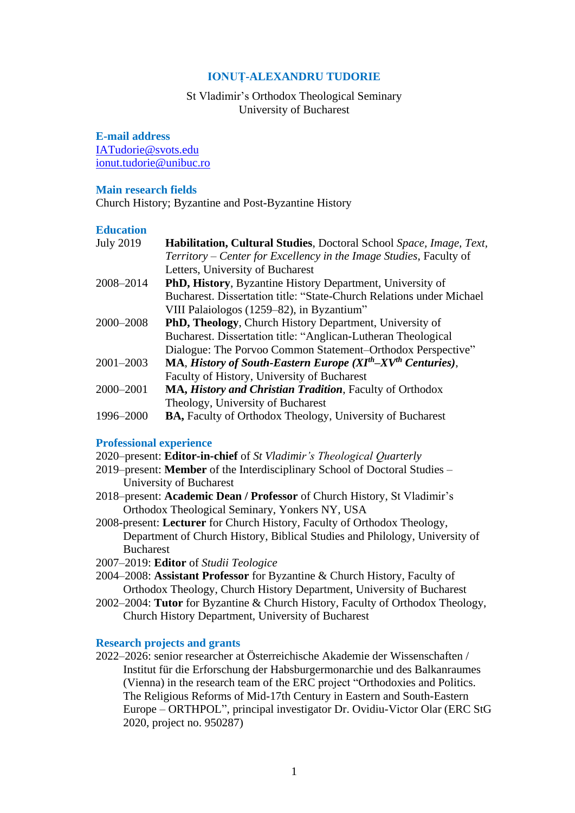# **IONUȚ-ALEXANDRU TUDORIE**

# St Vladimir's Orthodox Theological Seminary University of Bucharest

## **E-mail address**

[IATudorie@svots.edu](mailto:IATudorie@svots.edu) [ionut.tudorie@unibuc.ro](mailto:ionut.tudorie@unibuc.ro)

### **Main research fields**

Church History; Byzantine and Post-Byzantine History

### **Education**

| <b>July 2019</b> | Habilitation, Cultural Studies, Doctoral School Space, Image, Text,  |
|------------------|----------------------------------------------------------------------|
|                  | Territory – Center for Excellency in the Image Studies, Faculty of   |
|                  | Letters, University of Bucharest                                     |
| 2008-2014        | <b>PhD, History</b> , Byzantine History Department, University of    |
|                  | Bucharest. Dissertation title: "State-Church Relations under Michael |
|                  | VIII Palaiologos (1259–82), in Byzantium"                            |
| 2000-2008        | <b>PhD, Theology, Church History Department, University of</b>       |
|                  | Bucharest. Dissertation title: "Anglican-Lutheran Theological        |
|                  | Dialogue: The Porvoo Common Statement-Orthodox Perspective"          |
| 2001-2003        | MA, History of South-Eastern Europe $(XIth-XVth Centuries)$ ,        |
|                  | Faculty of History, University of Bucharest                          |
| 2000-2001        | MA, History and Christian Tradition, Faculty of Orthodox             |
|                  | Theology, University of Bucharest                                    |
| 1996-2000        | <b>BA, Faculty of Orthodox Theology, University of Bucharest</b>     |

### **Professional experience**

- 2020–present: **Editor-in-chief** of *St Vladimir's Theological Quarterly*
- 2019–present: **Member** of the Interdisciplinary School of Doctoral Studies University of Bucharest
- 2018–present: **Academic Dean / Professor** of Church History, St Vladimir's Orthodox Theological Seminary, Yonkers NY, USA
- 2008-present: **Lecturer** for Church History, Faculty of Orthodox Theology, Department of Church History, Biblical Studies and Philology, University of Bucharest
- 2007–2019: **Editor** of *Studii Teologice*
- 2004–2008: **Assistant Professor** for Byzantine & Church History, Faculty of Orthodox Theology, Church History Department, University of Bucharest
- 2002–2004: **Tutor** for Byzantine & Church History, Faculty of Orthodox Theology, Church History Department, University of Bucharest

## **Research projects and grants**

2022–2026: senior researcher at Österreichische Akademie der Wissenschaften / Institut für die Erforschung der Habsburgermonarchie und des Balkanraumes (Vienna) in the research team of the ERC project "Orthodoxies and Politics. The Religious Reforms of Mid-17th Century in Eastern and South-Eastern Europe – ORTHPOL", principal investigator Dr. Ovidiu-Victor Olar (ERC StG 2020, project no. 950287)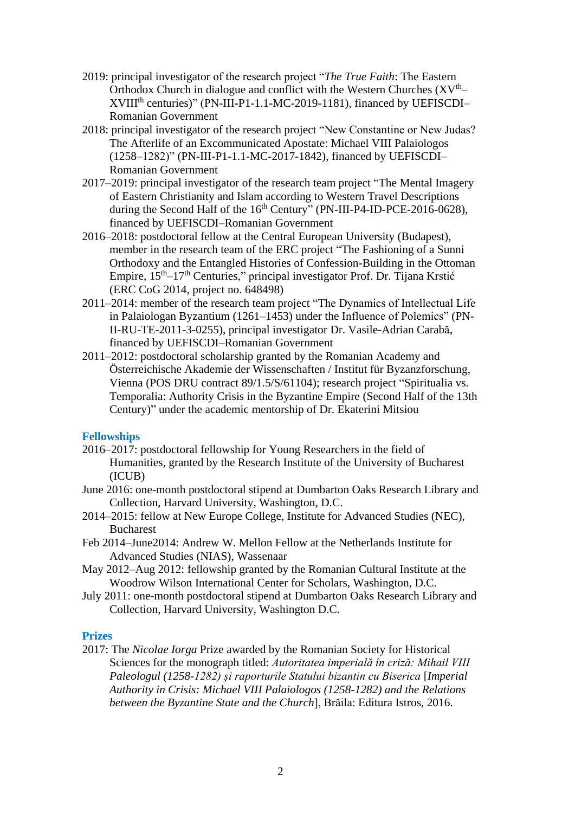- 2019: principal investigator of the research project "*The True Faith*: The Eastern Orthodox Church in dialogue and conflict with the Western Churches  $(XV<sup>th</sup>–$ XVIII<sup>th</sup> centuries)" (PN-III-P1-1.1-MC-2019-1181), financed by UEFISCDI-Romanian Government
- 2018: principal investigator of the research project "New Constantine or New Judas? The Afterlife of an Excommunicated Apostate: Michael VIII Palaiologos (1258–1282)" (PN-III-P1-1.1-MC-2017-1842), financed by UEFISCDI– Romanian Government
- 2017–2019: principal investigator of the research team project "The Mental Imagery of Eastern Christianity and Islam according to Western Travel Descriptions during the Second Half of the  $16<sup>th</sup>$  Century" (PN-III-P4-ID-PCE-2016-0628), financed by UEFISCDI–Romanian Government
- 2016–2018: postdoctoral fellow at the Central European University (Budapest), member in the research team of the ERC project "The Fashioning of a Sunni Orthodoxy and the Entangled Histories of Confession-Building in the Ottoman Empire, 15th–17th Centuries," principal investigator Prof. Dr. Tijana Krstić (ERC CoG 2014, project no. 648498)
- 2011–2014: member of the research team project "The Dynamics of Intellectual Life in Palaiologan Byzantium (1261–1453) under the Influence of Polemics" (PN-II-RU-TE-2011-3-0255), principal investigator Dr. Vasile-Adrian Carabă, financed by UEFISCDI–Romanian Government
- 2011–2012: postdoctoral scholarship granted by the Romanian Academy and Österreichische Akademie der Wissenschaften / Institut für Byzanzforschung, Vienna (POS DRU contract 89/1.5/S/61104); research project "Spiritualia vs. Temporalia: Authority Crisis in the Byzantine Empire (Second Half of the 13th Century)" under the academic mentorship of Dr. Ekaterini Mitsiou

## **Fellowships**

- 2016–2017: postdoctoral fellowship for Young Researchers in the field of Humanities, granted by the Research Institute of the University of Bucharest (ICUB)
- June 2016: one-month postdoctoral stipend at Dumbarton Oaks Research Library and Collection, Harvard University, Washington, D.C.
- 2014–2015: fellow at New Europe College, Institute for Advanced Studies (NEC), Bucharest
- Feb 2014–June2014: Andrew W. Mellon Fellow at the Netherlands Institute for Advanced Studies (NIAS), Wassenaar
- May 2012–Aug 2012: fellowship granted by the Romanian Cultural Institute at the Woodrow Wilson International Center for Scholars, Washington, D.C.
- July 2011: one-month postdoctoral stipend at Dumbarton Oaks Research Library and Collection, Harvard University, Washington D.C.

### **Prizes**

2017: The *Nicolae Iorga* Prize awarded by the Romanian Society for Historical Sciences for the monograph titled: *Autoritatea imperială în criză: Mihail VIII Paleologul (1258-1282) și raporturile Statului bizantin cu Biserica* [*Imperial Authority in Crisis: Michael VIII Palaiologos (1258-1282) and the Relations between the Byzantine State and the Church*], Brăila: Editura Istros, 2016.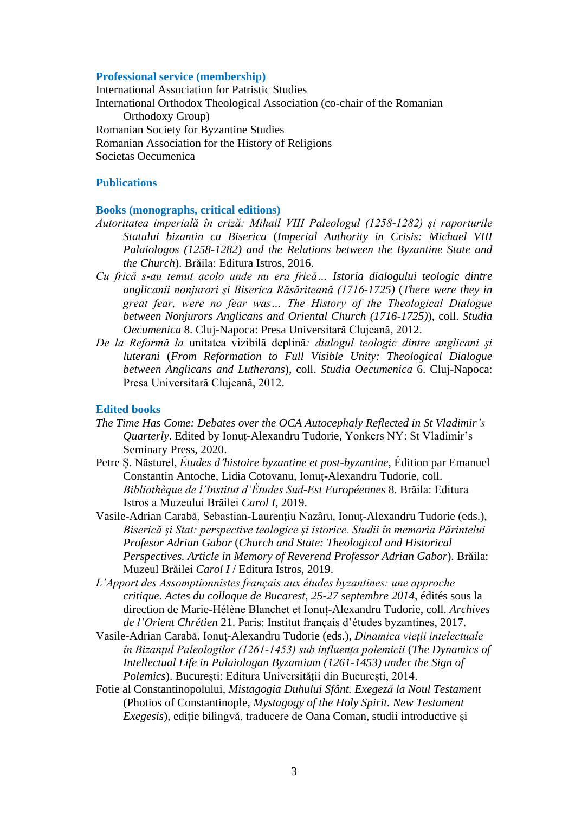#### **Professional service (membership)**

International Association for Patristic Studies International Orthodox Theological Association (co-chair of the Romanian Orthodoxy Group) Romanian Society for Byzantine Studies Romanian Association for the History of Religions Societas Oecumenica

### **Publications**

#### **Books (monographs, critical editions)**

- *Autoritatea imperială în criză: Mihail VIII Paleologul (1258-1282) și raporturile Statului bizantin cu Biserica* (*Imperial Authority in Crisis: Michael VIII Palaiologos (1258-1282) and the Relations between the Byzantine State and the Church*). Brăila: Editura Istros, 2016.
- *Cu frică s-au temut acolo unde nu era frică… Istoria dialogului teologic dintre anglicanii nonjurori şi Biserica Răsăriteană (1716-1725)* (*There were they in great fear, were no fear was… The History of the Theological Dialogue between Nonjurors Anglicans and Oriental Church (1716-1725)*), coll. *Studia Oecumenica* 8. Cluj-Napoca: Presa Universitară Clujeană, 2012.
- *De la Reformă la* unitatea vizibilă deplină*: dialogul teologic dintre anglicani şi luterani* (*From Reformation to Full Visible Unity: Theological Dialogue between Anglicans and Lutherans*), coll. *Studia Oecumenica* 6. Cluj-Napoca: Presa Universitară Clujeană, 2012.

#### **Edited books**

- *The Time Has Come: Debates over the OCA Autocephaly Reflected in St Vladimir's Quarterly*. Edited by Ionuț-Alexandru Tudorie, Yonkers NY: St Vladimir's Seminary Press, 2020.
- Petre Ș. Năsturel, *Études d'histoire byzantine et post-byzantine*, Édition par Emanuel Constantin Antoche, Lidia Cotovanu, Ionuț-Alexandru Tudorie, coll. *Bibliothèque de l'Institut d'Études Sud-Est Européennes* 8. Brăila: Editura Istros a Muzeului Brăilei *Carol I*, 2019.
- Vasile-Adrian Carabă, Sebastian-Laurențiu Nazâru, Ionuț-Alexandru Tudorie (eds.), *Biserică și Stat: perspective teologice și istorice. Studii în memoria Părintelui Profesor Adrian Gabor* (*Church and State: Theological and Historical Perspectives. Article in Memory of Reverend Professor Adrian Gabor*). Brăila: Muzeul Brăilei *Carol I* / Editura Istros, 2019.
- *L'Apport des Assomptionnistes français aux études byzantines: une approche critique. Actes du colloque de Bucarest, 25-27 septembre 2014*, édités sous la direction de Marie-Hélène Blanchet et Ionuț-Alexandru Tudorie, coll. *Archives de l'Orient Chrétien* 21. Paris: Institut français d'études byzantines, 2017.
- Vasile-Adrian Carabă, Ionuț-Alexandru Tudorie (eds.), *Dinamica vieții intelectuale în Bizanțul Paleologilor (1261-1453) sub influența polemicii* (*The Dynamics of Intellectual Life in Palaiologan Byzantium (1261-1453) under the Sign of Polemics*). București: Editura Universității din București, 2014.
- Fotie al Constantinopolului, *Mistagogia Duhului Sfânt. Exegeză la Noul Testament*  (Photios of Constantinople, *Mystagogy of the Holy Spirit. New Testament Exegesis*), ediție bilingvă, traducere de Oana Coman, studii introductive și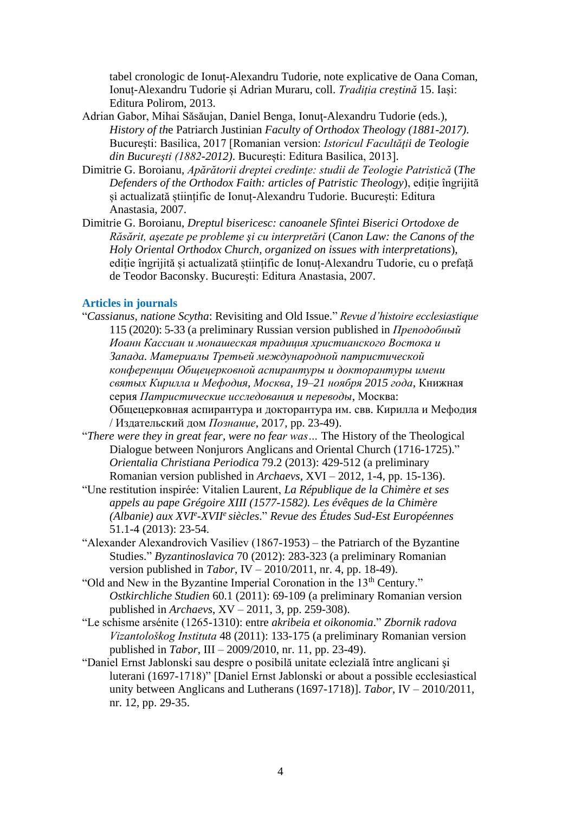tabel cronologic de Ionuț-Alexandru Tudorie, note explicative de Oana Coman, Ionuț-Alexandru Tudorie și Adrian Muraru, coll. *Tradiția creștină* 15. Iași: Editura Polirom, 2013.

- Adrian Gabor, Mihai Săsăujan, Daniel Benga, Ionuţ-Alexandru Tudorie (eds.), *History of th*e Patriarch Justinian *Faculty of Orthodox Theology (1881-2017)*. București: Basilica, 2017 [Romanian version: *Istoricul Facultății de Teologie din Bucureşti (1882-2012)*. București: Editura Basilica, 2013].
- Dimitrie G. Boroianu, *Apărătorii dreptei credinţe: studii de Teologie Patristică* (*The Defenders of the Orthodox Faith: articles of Patristic Theology*), ediție îngrijită și actualizată științific de Ionuț-Alexandru Tudorie. București: Editura Anastasia, 2007.
- Dimitrie G. Boroianu, *Dreptul bisericesc: canoanele Sfintei Biserici Ortodoxe de Răsărit, aşezate pe probleme şi cu interpretări* (*Canon Law: the Canons of the Holy Oriental Orthodox Church, organized on issues with interpretations*), ediție îngrijită și actualizată științific de Ionuț-Alexandru Tudorie, cu o prefață de Teodor Baconsky. București: Editura Anastasia, 2007.

### **Articles in journals**

- "*Cassianus, natione Scytha*: Revisiting and Old Issue." *Revue d'histoire ecclesiastique* 115 (2020): 5-33 (a preliminary Russian version published in *Преподобный Иоанн Кассиан и монашеская традиция христианского Востока и Запада. Материалы Третьей международной патристической конференции Общецерковной аспирантуры и докторантуры имени святых Кирилла и Мефодия, Москва, 19–21 ноября 2015 года*, Книжная серия *Патристические исследования и переводы*, Москва: Общецерковная аспирантура и докторантура им. свв. Кирилла и Мефодия / Издательский дом *Познание*, 2017, pp. 23-49).
- "*There were they in great fear, were no fear was…* The History of the Theological Dialogue between Nonjurors Anglicans and Oriental Church (1716-1725)." *Orientalia Christiana Periodica* 79.2 (2013): 429-512 (a preliminary Romanian version published in *Archaevs*, XVI – 2012, 1-4, pp. 15-136).
- "Une restitution inspirée: Vitalien Laurent, *La République de la Chimère et ses appels au pape Grégoire XIII (1577-1582). Les évêques de la Chimère (Albanie) aux XVI e -XVII<sup>e</sup>siècles*." *Revue des Études Sud-Est Européennes* 51.1-4 (2013): 23-54.
- "Alexander Alexandrovich Vasiliev (1867-1953) the Patriarch of the Byzantine Studies." *Byzantinoslavica* 70 (2012): 283-323 (a preliminary Romanian version published in *Tabor*, IV – 2010/2011, nr. 4, pp. 18-49).
- "Old and New in the Byzantine Imperial Coronation in the 13<sup>th</sup> Century." *Ostkirchliche Studien* 60.1 (2011): 69-109 (a preliminary Romanian version published in *Archaevs*, XV – 2011, 3, pp. 259-308).
- "Le schisme arsénite (1265-1310): entre *akribeia et oikonomia*." *Zbornik radova Vizantološkog Instituta* 48 (2011): 133-175 (a preliminary Romanian version published in *Tabor*, III – 2009/2010, nr. 11, pp. 23-49).
- "Daniel Ernst Jablonski sau despre o posibilă unitate eclezială între anglicani şi luterani (1697-1718)" [Daniel Ernst Jablonski or about a possible ecclesiastical unity between Anglicans and Lutherans (1697-1718)]. *Tabor*, IV – 2010/2011, nr. 12, pp. 29-35.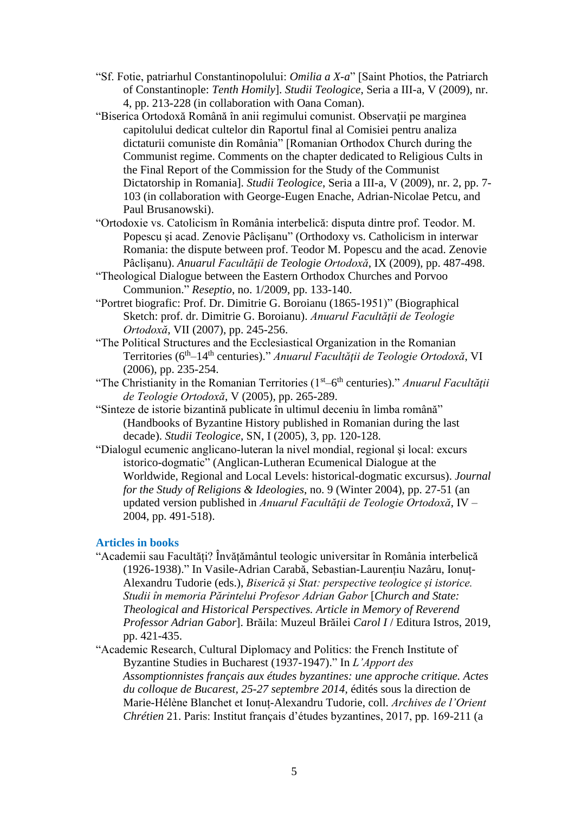- "Sf. Fotie, patriarhul Constantinopolului: *Omilia a X-a*" [Saint Photios, the Patriarch of Constantinople: *Tenth Homily*]. *Studii Teologice*, Seria a III-a, V (2009), nr. 4, pp. 213-228 (in collaboration with Oana Coman).
- "Biserica Ortodoxă Română în anii regimului comunist. Observaţii pe marginea capitolului dedicat cultelor din Raportul final al Comisiei pentru analiza dictaturii comuniste din România" [Romanian Orthodox Church during the Communist regime. Comments on the chapter dedicated to Religious Cults in the Final Report of the Commission for the Study of the Communist Dictatorship in Romania]. *Studii Teologice*, Seria a III-a, V (2009), nr. 2, pp. 7- 103 (in collaboration with George-Eugen Enache, Adrian-Nicolae Petcu, and Paul Brusanowski).
- "Ortodoxie vs. Catolicism în România interbelică: disputa dintre prof. Teodor. M. Popescu şi acad. Zenovie Pâclişanu" (Orthodoxy vs. Catholicism in interwar Romania: the dispute between prof. Teodor M. Popescu and the acad. Zenovie Pâclişanu). *Anuarul Facultăţii de Teologie Ortodoxă*, IX (2009), pp. 487-498.
- "Theological Dialogue between the Eastern Orthodox Churches and Porvoo Communion." *Reseptio*, no. 1/2009, pp. 133-140.
- "Portret biografic: Prof. Dr. Dimitrie G. Boroianu (1865-1951)" (Biographical Sketch: prof. dr. Dimitrie G. Boroianu). *Anuarul Facultății de Teologie Ortodoxă*, VII (2007), pp. 245-256.
- "The Political Structures and the Ecclesiastical Organization in the Romanian Territories (6th–14th centuries)." *Anuarul Facultăţii de Teologie Ortodoxă*, VI (2006), pp. 235-254.
- "The Christianity in the Romanian Territories (1<sup>st</sup>–6<sup>th</sup> centuries)." *Anuarul Facultății de Teologie Ortodoxă*, V (2005), pp. 265-289.
- "Sinteze de istorie bizantină publicate în ultimul deceniu în limba română" (Handbooks of Byzantine History published in Romanian during the last decade). *Studii Teologice*, SN, I (2005), 3, pp. 120-128.
- "Dialogul ecumenic anglicano-luteran la nivel mondial, regional şi local: excurs istorico-dogmatic" (Anglican-Lutheran Ecumenical Dialogue at the Worldwide, Regional and Local Levels: historical-dogmatic excursus). *Journal for the Study of Religions & Ideologies*, no. 9 (Winter 2004), pp. 27-51 (an updated version published in *Anuarul Facultăţii de Teologie Ortodoxă*, IV – 2004, pp. 491-518).

## **Articles in books**

"Academii sau Facultăți? Învățământul teologic universitar în România interbelică (1926-1938)." In Vasile-Adrian Carabă, Sebastian-Laurențiu Nazâru, Ionuț-Alexandru Tudorie (eds.), *Biserică și Stat: perspective teologice și istorice. Studii în memoria Părintelui Profesor Adrian Gabor* [*Church and State: Theological and Historical Perspectives. Article in Memory of Reverend Professor Adrian Gabor*]. Brăila: Muzeul Brăilei *Carol I* / Editura Istros, 2019, pp. 421-435.

"Academic Research, Cultural Diplomacy and Politics: the French Institute of Byzantine Studies in Bucharest (1937-1947)." In *L'Apport des Assomptionnistes français aux études byzantines: une approche critique. Actes du colloque de Bucarest, 25-27 septembre 2014*, édités sous la direction de Marie-Hélène Blanchet et Ionuț-Alexandru Tudorie, coll. *Archives de l'Orient Chrétien* 21. Paris: Institut français d'études byzantines, 2017, pp. 169-211 (a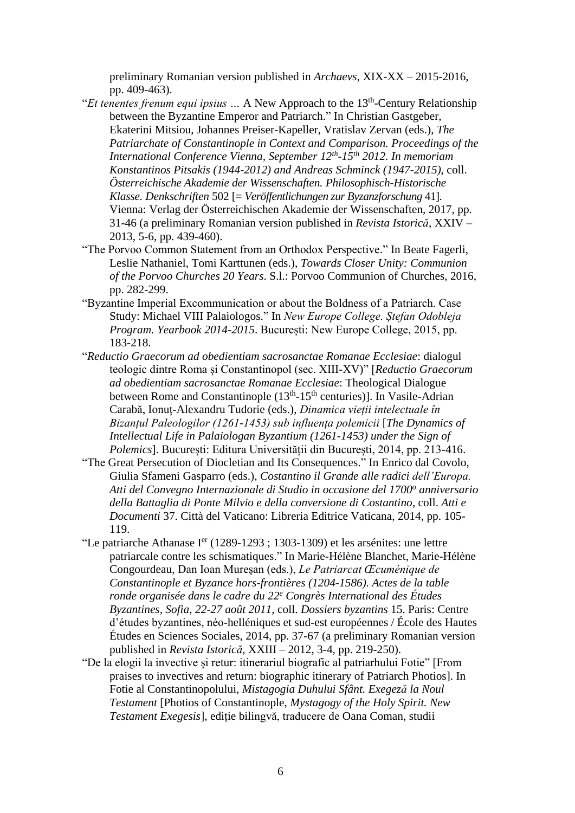preliminary Romanian version published in *Archaevs*, XIX-XX – 2015-2016, pp. 409-463).

- "*Et tenentes frenum equi ipsius* ... A New Approach to the 13<sup>th</sup>-Century Relationship between the Byzantine Emperor and Patriarch." In Christian Gastgeber, Ekaterini Mitsiou, Johannes Preiser-Kapeller, Vratislav Zervan (eds.), *The Patriarchate of Constantinople in Context and Comparison. Proceedings of the International Conference Vienna, September 12th -15th 2012. In memoriam Konstantinos Pitsakis (1944-2012) and Andreas Schminck (1947-2015)*, coll. *Österreichische Akademie der Wissenschaften. Philosophisch-Historische Klasse. Denkschriften* 502 [= *Veröffentlichungen zur Byzanzforschung* 41]. Vienna: Verlag der Österreichischen Akademie der Wissenschaften, 2017, pp. 31-46 (a preliminary Romanian version published in *Revista Istorică*, XXIV – 2013, 5-6, pp. 439-460).
- "The Porvoo Common Statement from an Orthodox Perspective." In Beate Fagerli, Leslie Nathaniel, Tomi Karttunen (eds.), *Towards Closer Unity: Communion of the Porvoo Churches 20 Years*. S.l.: Porvoo Communion of Churches, 2016, pp. 282-299.
- "Byzantine Imperial Excommunication or about the Boldness of a Patriarch. Case Study: Michael VIII Palaiologos." In *New Europe College. Ștefan Odobleja Program. Yearbook 2014-2015*. București: New Europe College, 2015, pp. 183-218.
- "*Reductio Graecorum ad obedientiam sacrosanctae Romanae Ecclesiae*: dialogul teologic dintre Roma și Constantinopol (sec. XIII-XV)" [*Reductio Graecorum ad obedientiam sacrosanctae Romanae Ecclesiae*: Theological Dialogue between Rome and Constantinople (13<sup>th</sup>-15<sup>th</sup> centuries)]. In Vasile-Adrian Carabă, Ionuț-Alexandru Tudorie (eds.), *Dinamica vieții intelectuale în Bizanțul Paleologilor (1261-1453) sub influența polemicii* [*The Dynamics of Intellectual Life in Palaiologan Byzantium (1261-1453) under the Sign of Polemics*]. București: Editura Universității din București, 2014, pp. 213-416.
- "The Great Persecution of Diocletian and Its Consequences." In Enrico dal Covolo, Giulia Sfameni Gasparro (eds.), *Costantino il Grande alle radici dell'Europa. Atti del Convegno Internazionale di Studio in occasione del 1700<sup>o</sup> anniversario della Battaglia di Ponte Milvio e della conversione di Costantino*, coll. *Atti e Documenti* 37. Città del Vaticano: Libreria Editrice Vaticana, 2014, pp. 105- 119.
- "Le patriarche Athanase I<sup>er</sup> (1289-1293 ; 1303-1309) et les arsénites: une lettre patriarcale contre les schismatiques." In Marie-Hélène Blanchet, Marie-Hélène Congourdeau, Dan Ioan Mureşan (eds.), *Le Patriarcat Œcuménique de Constantinople et Byzance hors-frontières (1204-1586). Actes de la table ronde organisée dans le cadre du 22<sup>e</sup> Congrès International des Études Byzantines, Sofia, 22-27 août 2011*, coll. *Dossiers byzantins* 15. Paris: Centre d'études byzantines, néo-helléniques et sud-est européennes / École des Hautes Études en Sciences Sociales, 2014, pp. 37-67 (a preliminary Romanian version published in *Revista Istorică,* XXIII – 2012, 3-4, pp. 219-250).
- "De la elogii la invective și retur: itinerariul biografic al patriarhului Fotie" [From praises to invectives and return: biographic itinerary of Patriarch Photios]. In Fotie al Constantinopolului, *Mistagogia Duhului Sfânt. Exegeză la Noul Testament* [Photios of Constantinople, *Mystagogy of the Holy Spirit. New Testament Exegesis*], ediție bilingvă, traducere de Oana Coman, studii